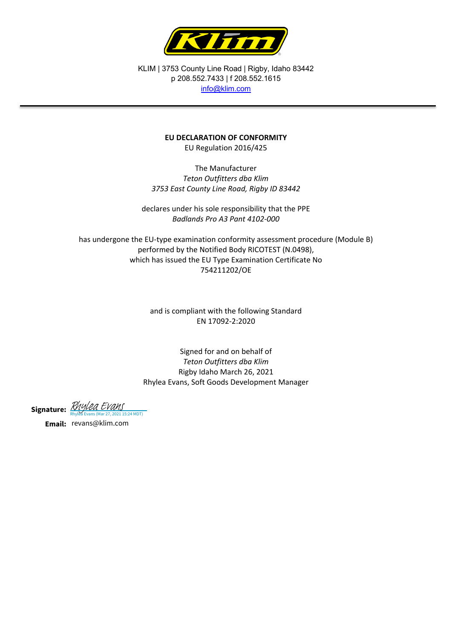

KLIM | 3753 County Line Road | Rigby, Idaho 83442 p 208.552.7433 | f 208.552.1615 [info@klim.com](mailto:info@klim.com)

## **EU DECLARATION OF CONFORMITY**

EU Regulation 2016/425

The Manufacturer *Teton Outfitters dba Klim 3753 East County Line Road, Rigby ID 83442*

declares under his sole responsibility that the PPE *Badlands Pro A3 Pant 4102-000*

has undergone the EU-type examination conformity assessment procedure (Module B) performed by the Notified Body RICOTEST (N.0498), which has issued the EU Type Examination Certificate No 754211202/OE

> and is compliant with the following Standard EN 17092-2:2020

Signed for and on behalf of *Teton Outfitters dba Klim* Rigby Idaho March 26, 2021 Rhylea Evans, Soft Goods Development Manager

Signature: *[Rhylea Evans](https://na2.documents.adobe.com/verifier?tx=CBJCHBCAABAAmXSe8tmt0kfQQQJHmziJdFZTx47vDzZG)*<br>Rhylea Evans (Mar 27, 2021 15:24 MDT)

**Email:** revans@klim.com